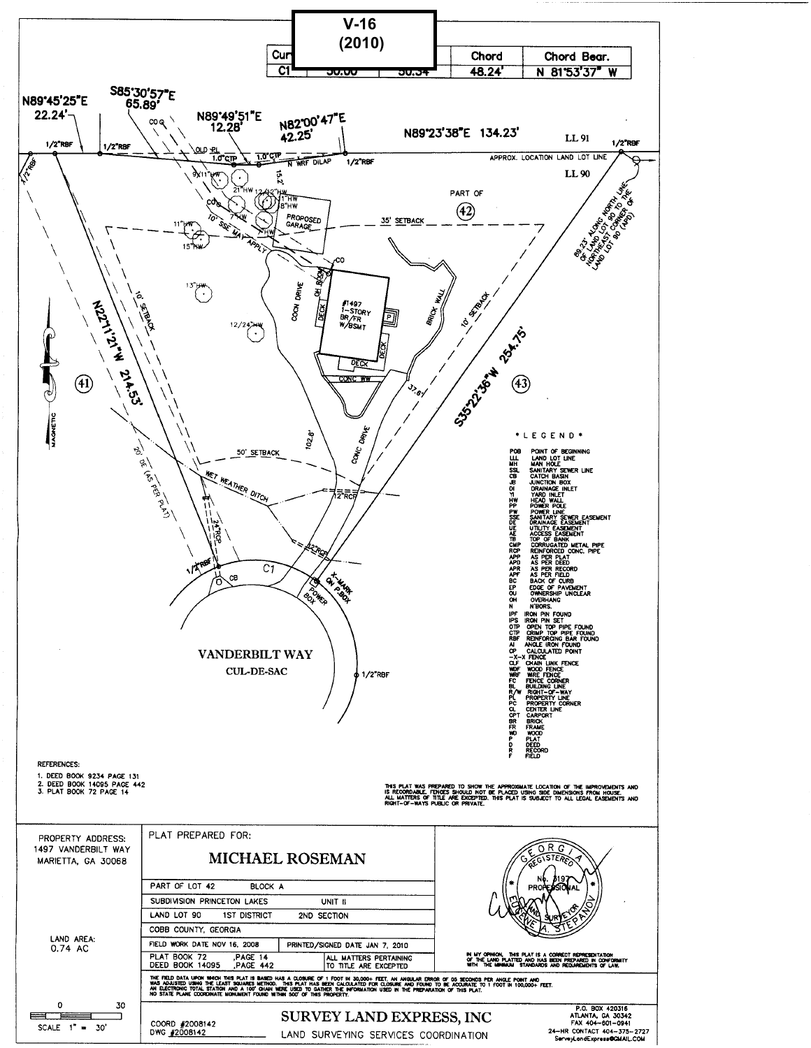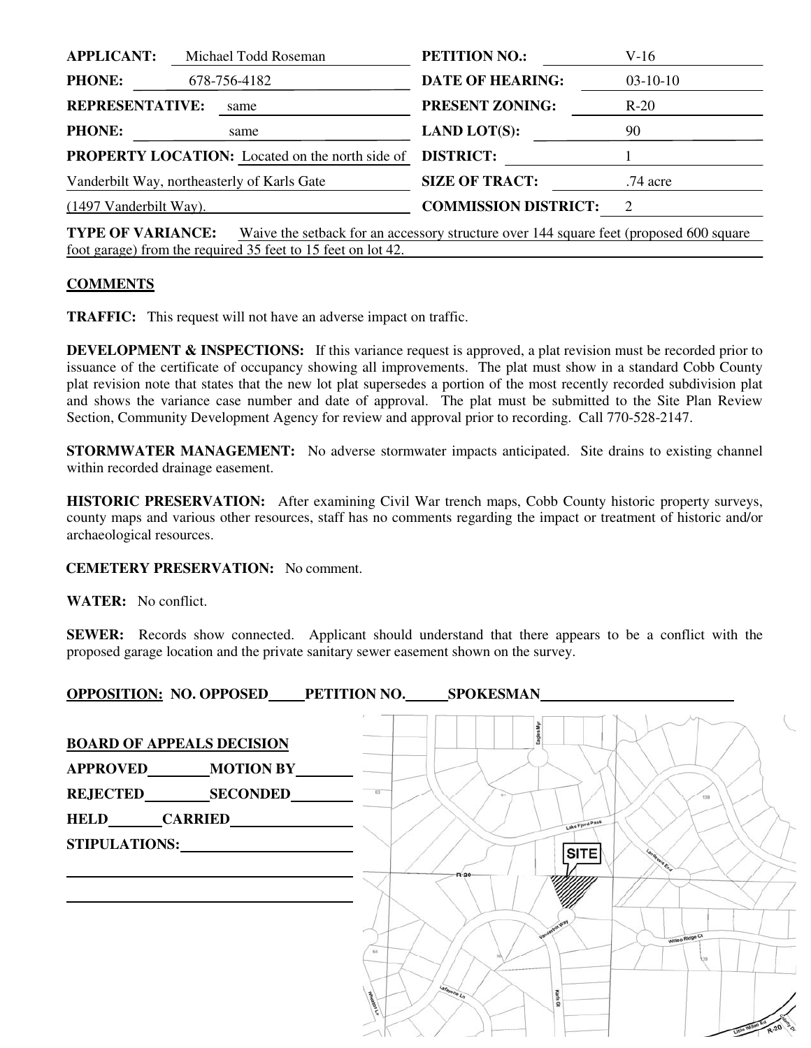| <b>APPLICANT:</b><br>Michael Todd Roseman              |  | <b>PETITION NO.:</b>    | V-16                        |                             |
|--------------------------------------------------------|--|-------------------------|-----------------------------|-----------------------------|
| <b>PHONE:</b><br>678-756-4182                          |  | <b>DATE OF HEARING:</b> | $03-10-10$                  |                             |
| <b>REPRESENTATIVE:</b>                                 |  | same                    | <b>PRESENT ZONING:</b>      | $R-20$                      |
| <b>PHONE:</b>                                          |  | same                    | <b>LAND LOT(S):</b>         | 90                          |
| <b>PROPERTY LOCATION:</b> Located on the north side of |  |                         | <b>DISTRICT:</b>            |                             |
| Vanderbilt Way, northeasterly of Karls Gate            |  |                         | <b>SIZE OF TRACT:</b>       | $.74$ acre                  |
| $(1497 \text{ Vanderbill Way}).$                       |  |                         | <b>COMMISSION DISTRICT:</b> | $\mathcal{D}_{\mathcal{L}}$ |
|                                                        |  |                         |                             |                             |

**TYPE OF VARIANCE:** Waive the setback for an accessory structure over 144 square feet (proposed 600 square foot garage) from the required 35 feet to 15 feet on lot 42.

## **COMMENTS**

**TRAFFIC:** This request will not have an adverse impact on traffic.

**DEVELOPMENT & INSPECTIONS:** If this variance request is approved, a plat revision must be recorded prior to issuance of the certificate of occupancy showing all improvements. The plat must show in a standard Cobb County plat revision note that states that the new lot plat supersedes a portion of the most recently recorded subdivision plat and shows the variance case number and date of approval. The plat must be submitted to the Site Plan Review Section, Community Development Agency for review and approval prior to recording. Call 770-528-2147.

**STORMWATER MANAGEMENT:** No adverse stormwater impacts anticipated. Site drains to existing channel within recorded drainage easement.

**HISTORIC PRESERVATION:** After examining Civil War trench maps, Cobb County historic property surveys, county maps and various other resources, staff has no comments regarding the impact or treatment of historic and/or archaeological resources.

**CEMETERY PRESERVATION:** No comment.

**WATER:** No conflict.

**SEWER:** Records show connected. Applicant should understand that there appears to be a conflict with the proposed garage location and the private sanitary sewer easement shown on the survey.

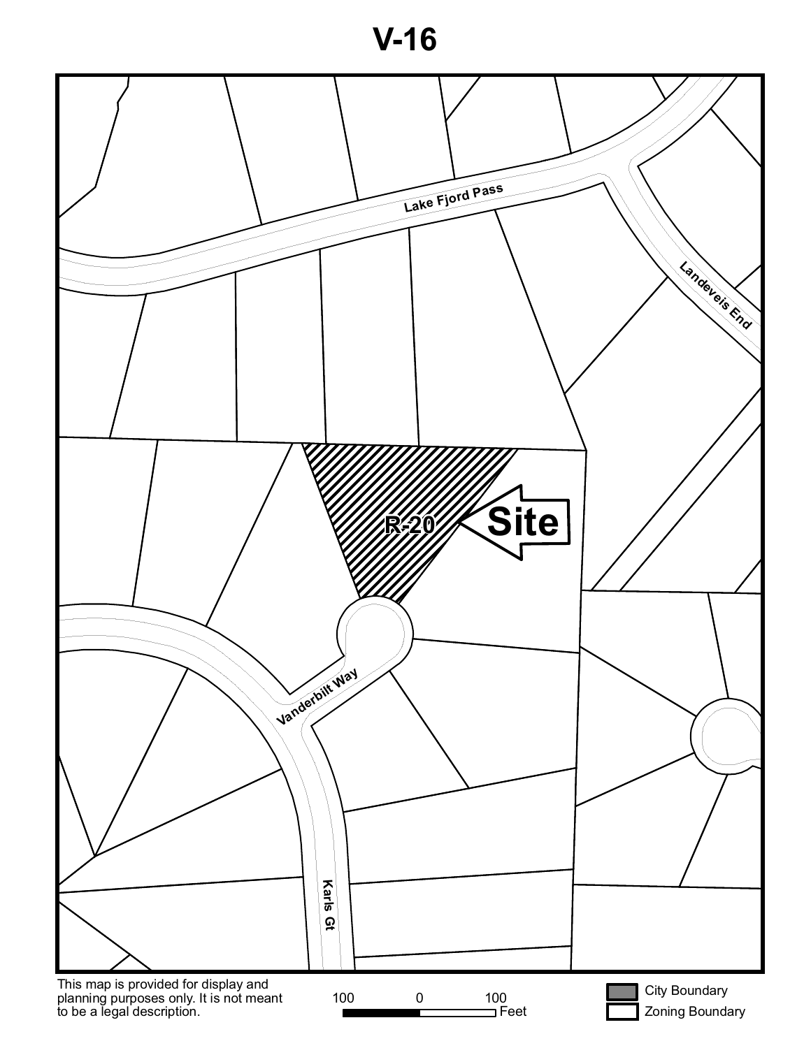**V-16**

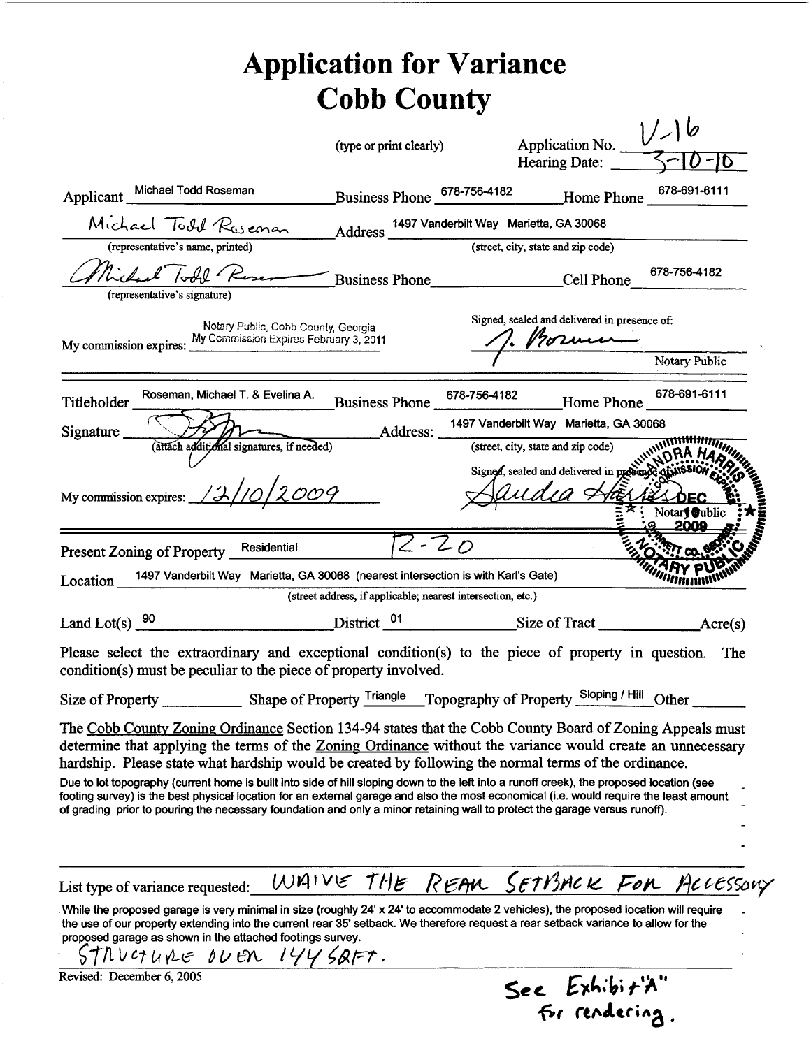## **Application for Variance Cobb County**

|                                                                                                                                                                                                                                                                                                                                                                                                                                                                                                                                                                                                                                                                                                                                                            | (type or print clearly) |                                                             | Application No. $\bigcup_{\longrightarrow} \emptyset$<br>Hearing Date:                                                                                                                      |                                      |
|------------------------------------------------------------------------------------------------------------------------------------------------------------------------------------------------------------------------------------------------------------------------------------------------------------------------------------------------------------------------------------------------------------------------------------------------------------------------------------------------------------------------------------------------------------------------------------------------------------------------------------------------------------------------------------------------------------------------------------------------------------|-------------------------|-------------------------------------------------------------|---------------------------------------------------------------------------------------------------------------------------------------------------------------------------------------------|--------------------------------------|
|                                                                                                                                                                                                                                                                                                                                                                                                                                                                                                                                                                                                                                                                                                                                                            |                         |                                                             | Hearing Date:                                                                                                                                                                               |                                      |
| Applicant Michael Todd Roseman                                                                                                                                                                                                                                                                                                                                                                                                                                                                                                                                                                                                                                                                                                                             |                         |                                                             | Business Phone 678-756-4182 Home Phone                                                                                                                                                      | 678-691-6111                         |
| Michael Todd Ruseman                                                                                                                                                                                                                                                                                                                                                                                                                                                                                                                                                                                                                                                                                                                                       |                         | Address 1497 Vanderbilt Way Marietta, GA 30068              |                                                                                                                                                                                             |                                      |
| (representative's name, printed)                                                                                                                                                                                                                                                                                                                                                                                                                                                                                                                                                                                                                                                                                                                           |                         |                                                             | (street, city, state and zip code)                                                                                                                                                          |                                      |
| Michael Todd Reser<br>(representative's signature)                                                                                                                                                                                                                                                                                                                                                                                                                                                                                                                                                                                                                                                                                                         |                         |                                                             | Business Phone_______________________Cell Phone__________________________________                                                                                                           |                                      |
| Notary Public, Cobb County, Georgia<br>My commission expires: My Commission Expires February 3, 2011                                                                                                                                                                                                                                                                                                                                                                                                                                                                                                                                                                                                                                                       |                         |                                                             | Signed, sealed and delivered in presence of:<br>7. Produced Notary Public                                                                                                                   |                                      |
|                                                                                                                                                                                                                                                                                                                                                                                                                                                                                                                                                                                                                                                                                                                                                            |                         |                                                             |                                                                                                                                                                                             |                                      |
| Titleholder Roseman, Michael T. & Evelina A.                                                                                                                                                                                                                                                                                                                                                                                                                                                                                                                                                                                                                                                                                                               |                         |                                                             | Business Phone 678-756-4182 Home Phone 678-691-6111                                                                                                                                         |                                      |
| Signature (attach additional signatures, if needed) Address: 14                                                                                                                                                                                                                                                                                                                                                                                                                                                                                                                                                                                                                                                                                            |                         |                                                             | 1497 Vanderbilt Way Marietta, GA 30068                                                                                                                                                      |                                      |
| My commission expires: $\frac{12/10}{2009}$                                                                                                                                                                                                                                                                                                                                                                                                                                                                                                                                                                                                                                                                                                                |                         |                                                             | (street, city, state and zip code)<br>(street, city, state and zip code)<br>Signed, sealed and delivered in probability of the state of the state of the state of the state of the state of |                                      |
|                                                                                                                                                                                                                                                                                                                                                                                                                                                                                                                                                                                                                                                                                                                                                            |                         |                                                             |                                                                                                                                                                                             | Notary Oublic<br>2009                |
| Present Zoning of Property Residential $\sqrt{2\cdot 20}$                                                                                                                                                                                                                                                                                                                                                                                                                                                                                                                                                                                                                                                                                                  |                         |                                                             |                                                                                                                                                                                             |                                      |
| 1497 Vanderbilt Way Marietta, GA 30068 (nearest intersection is with Karl's Gate)<br>Location                                                                                                                                                                                                                                                                                                                                                                                                                                                                                                                                                                                                                                                              |                         |                                                             |                                                                                                                                                                                             |                                      |
|                                                                                                                                                                                                                                                                                                                                                                                                                                                                                                                                                                                                                                                                                                                                                            |                         |                                                             |                                                                                                                                                                                             |                                      |
|                                                                                                                                                                                                                                                                                                                                                                                                                                                                                                                                                                                                                                                                                                                                                            |                         | (street address, if applicable; nearest intersection, etc.) |                                                                                                                                                                                             |                                      |
|                                                                                                                                                                                                                                                                                                                                                                                                                                                                                                                                                                                                                                                                                                                                                            |                         |                                                             |                                                                                                                                                                                             |                                      |
|                                                                                                                                                                                                                                                                                                                                                                                                                                                                                                                                                                                                                                                                                                                                                            |                         |                                                             |                                                                                                                                                                                             |                                      |
| Please select the extraordinary and exceptional condition(s) to the piece of property in question. The<br>condition(s) must be peculiar to the piece of property involved.                                                                                                                                                                                                                                                                                                                                                                                                                                                                                                                                                                                 |                         |                                                             |                                                                                                                                                                                             |                                      |
| The Cobb County Zoning Ordinance Section 134-94 states that the Cobb County Board of Zoning Appeals must<br>determine that applying the terms of the <u>Zoning Ordinance</u> without the variance would create an unnecessary<br>hardship. Please state what hardship would be created by following the normal terms of the ordinance.<br>Due to lot topography (current home is built into side of hill sloping down to the left into a runoff creek), the proposed location (see<br>footing survey) is the best physical location for an external garage and also the most economical (i.e. would require the least amount<br>of grading prior to pouring the necessary foundation and only a minor retaining wall to protect the garage versus runoff). |                         |                                                             |                                                                                                                                                                                             |                                      |
|                                                                                                                                                                                                                                                                                                                                                                                                                                                                                                                                                                                                                                                                                                                                                            |                         |                                                             |                                                                                                                                                                                             |                                      |
| List type of variance requested:<br>While the proposed garage is very minimal in size (roughly 24' x 24' to accommodate 2 vehicles), the proposed location will require<br>the use of our property extending into the current rear 35' setback. We therefore request a rear setback variance to allow for the<br>proposed garage as shown in the attached footings survey.<br>STRUCTURE OUER 1445AFT.                                                                                                                                                                                                                                                                                                                                                      |                         |                                                             |                                                                                                                                                                                             | WAIVE THE REAN SETBACK FOR ACCESSORY |

For rendering.